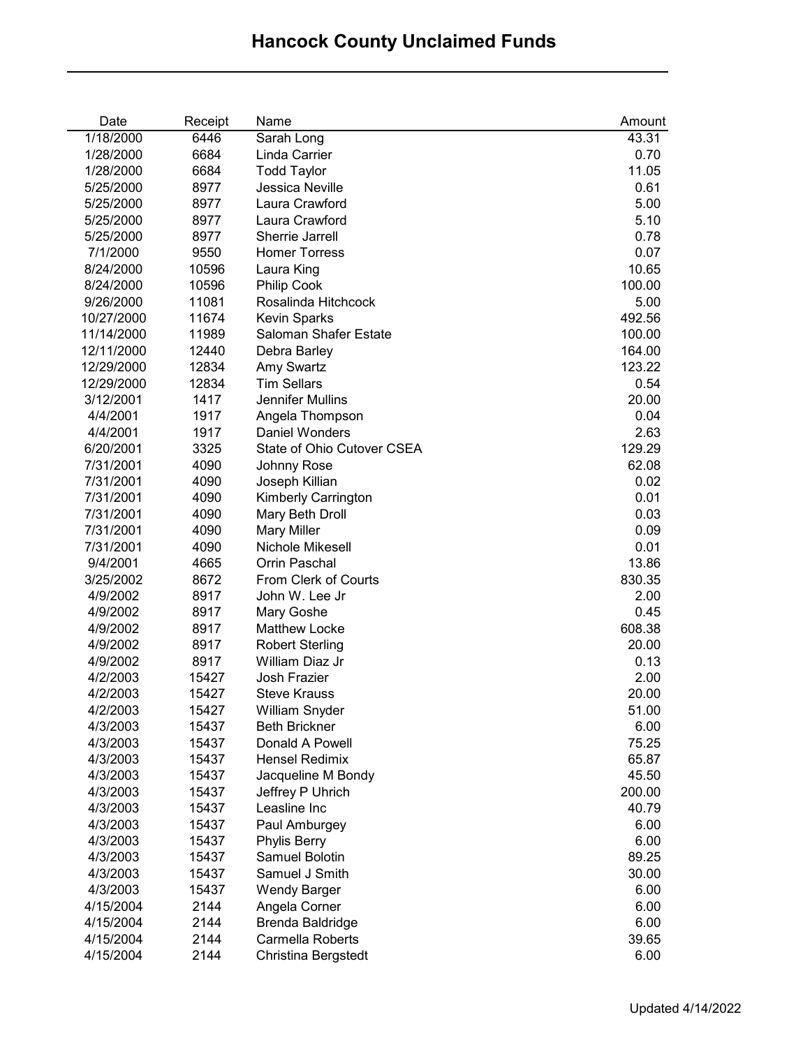| Date       | Receipt | Name                       | Amount |
|------------|---------|----------------------------|--------|
| 1/18/2000  | 6446    | Sarah Long                 | 43.31  |
| 1/28/2000  | 6684    | Linda Carrier              | 0.70   |
| 1/28/2000  | 6684    | <b>Todd Taylor</b>         | 11.05  |
| 5/25/2000  | 8977    | Jessica Neville            | 0.61   |
| 5/25/2000  | 8977    | Laura Crawford             | 5.00   |
| 5/25/2000  | 8977    | Laura Crawford             | 5.10   |
| 5/25/2000  | 8977    | Sherrie Jarrell            | 0.78   |
| 7/1/2000   | 9550    | <b>Homer Torress</b>       | 0.07   |
| 8/24/2000  | 10596   | Laura King                 | 10.65  |
| 8/24/2000  | 10596   | <b>Philip Cook</b>         | 100.00 |
| 9/26/2000  | 11081   | Rosalinda Hitchcock        | 5.00   |
| 10/27/2000 | 11674   | <b>Kevin Sparks</b>        | 492.56 |
| 11/14/2000 | 11989   | Saloman Shafer Estate      | 100.00 |
| 12/11/2000 | 12440   | Debra Barley               | 164.00 |
| 12/29/2000 | 12834   | <b>Amy Swartz</b>          | 123.22 |
| 12/29/2000 | 12834   | <b>Tim Sellars</b>         | 0.54   |
| 3/12/2001  | 1417    | Jennifer Mullins           | 20.00  |
| 4/4/2001   | 1917    | Angela Thompson            | 0.04   |
| 4/4/2001   | 1917    | Daniel Wonders             | 2.63   |
| 6/20/2001  | 3325    | State of Ohio Cutover CSEA | 129.29 |
| 7/31/2001  | 4090    | Johnny Rose                | 62.08  |
| 7/31/2001  | 4090    | Joseph Killian             | 0.02   |
| 7/31/2001  | 4090    | Kimberly Carrington        | 0.01   |
| 7/31/2001  | 4090    | Mary Beth Droll            | 0.03   |
| 7/31/2001  | 4090    | <b>Mary Miller</b>         | 0.09   |
| 7/31/2001  | 4090    | Nichole Mikesell           | 0.01   |
| 9/4/2001   | 4665    | Orrin Paschal              | 13.86  |
| 3/25/2002  | 8672    | From Clerk of Courts       | 830.35 |
| 4/9/2002   | 8917    | John W. Lee Jr             | 2.00   |
| 4/9/2002   | 8917    | Mary Goshe                 | 0.45   |
| 4/9/2002   | 8917    | Matthew Locke              | 608.38 |
| 4/9/2002   | 8917    | <b>Robert Sterling</b>     | 20.00  |
| 4/9/2002   | 8917    | William Diaz Jr            | 0.13   |
| 4/2/2003   | 15427   | Josh Frazier               | 2.00   |
| 4/2/2003   | 15427   | <b>Steve Krauss</b>        | 20.00  |
| 4/2/2003   | 15427   | William Snyder             | 51.00  |
| 4/3/2003   | 15437   | <b>Beth Brickner</b>       | 6.00   |
| 4/3/2003   | 15437   | Donald A Powell            | 75.25  |
| 4/3/2003   | 15437   | <b>Hensel Redimix</b>      | 65.87  |
| 4/3/2003   | 15437   | Jacqueline M Bondy         | 45.50  |
| 4/3/2003   | 15437   | Jeffrey P Uhrich           | 200.00 |
| 4/3/2003   | 15437   | Leasline Inc               | 40.79  |
| 4/3/2003   | 15437   | Paul Amburgey              | 6.00   |
| 4/3/2003   | 15437   | <b>Phylis Berry</b>        | 6.00   |
| 4/3/2003   | 15437   | Samuel Bolotin             | 89.25  |
| 4/3/2003   | 15437   | Samuel J Smith             | 30.00  |
| 4/3/2003   | 15437   | <b>Wendy Barger</b>        | 6.00   |
| 4/15/2004  | 2144    | Angela Corner              | 6.00   |
| 4/15/2004  | 2144    | Brenda Baldridge           | 6.00   |
| 4/15/2004  | 2144    | Carmella Roberts           | 39.65  |
| 4/15/2004  | 2144    | Christina Bergstedt        | 6.00   |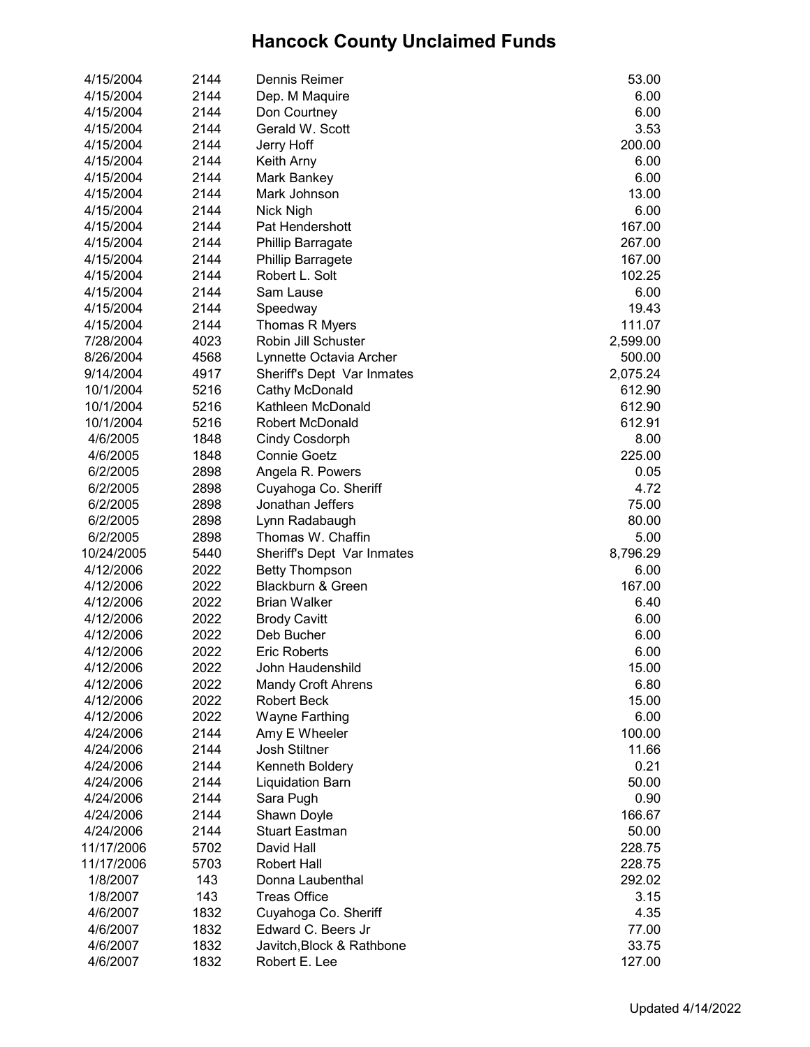| 4/15/2004  | 2144 | Dennis Reimer                | 53.00    |
|------------|------|------------------------------|----------|
| 4/15/2004  | 2144 | Dep. M Maquire               | 6.00     |
| 4/15/2004  | 2144 | Don Courtney                 | 6.00     |
| 4/15/2004  | 2144 | Gerald W. Scott              | 3.53     |
| 4/15/2004  | 2144 | Jerry Hoff                   | 200.00   |
| 4/15/2004  | 2144 | Keith Arny                   | 6.00     |
| 4/15/2004  | 2144 | Mark Bankey                  | 6.00     |
| 4/15/2004  | 2144 | Mark Johnson                 | 13.00    |
| 4/15/2004  | 2144 | Nick Nigh                    | 6.00     |
| 4/15/2004  | 2144 | Pat Hendershott              | 167.00   |
| 4/15/2004  | 2144 | <b>Phillip Barragate</b>     | 267.00   |
| 4/15/2004  | 2144 | <b>Phillip Barragete</b>     | 167.00   |
| 4/15/2004  | 2144 | Robert L. Solt               | 102.25   |
| 4/15/2004  | 2144 | Sam Lause                    | 6.00     |
| 4/15/2004  | 2144 | Speedway                     | 19.43    |
| 4/15/2004  | 2144 | Thomas R Myers               | 111.07   |
| 7/28/2004  | 4023 | Robin Jill Schuster          | 2,599.00 |
| 8/26/2004  | 4568 | Lynnette Octavia Archer      | 500.00   |
| 9/14/2004  | 4917 | Sheriff's Dept Var Inmates   | 2,075.24 |
| 10/1/2004  | 5216 | Cathy McDonald               | 612.90   |
| 10/1/2004  | 5216 | Kathleen McDonald            | 612.90   |
| 10/1/2004  | 5216 | Robert McDonald              | 612.91   |
| 4/6/2005   | 1848 | <b>Cindy Cosdorph</b>        | 8.00     |
|            | 1848 | <b>Connie Goetz</b>          | 225.00   |
| 4/6/2005   |      |                              |          |
| 6/2/2005   | 2898 | Angela R. Powers             | 0.05     |
| 6/2/2005   | 2898 | Cuyahoga Co. Sheriff         | 4.72     |
| 6/2/2005   | 2898 | Jonathan Jeffers             | 75.00    |
| 6/2/2005   | 2898 | Lynn Radabaugh               | 80.00    |
| 6/2/2005   | 2898 | Thomas W. Chaffin            | 5.00     |
| 10/24/2005 | 5440 | Sheriff's Dept Var Inmates   | 8,796.29 |
| 4/12/2006  | 2022 | <b>Betty Thompson</b>        | 6.00     |
| 4/12/2006  | 2022 | <b>Blackburn &amp; Green</b> | 167.00   |
| 4/12/2006  | 2022 | <b>Brian Walker</b>          | 6.40     |
| 4/12/2006  | 2022 | <b>Brody Cavitt</b>          | 6.00     |
| 4/12/2006  | 2022 | Deb Bucher                   | 6.00     |
| 4/12/2006  | 2022 | <b>Eric Roberts</b>          | 6.00     |
| 4/12/2006  | 2022 | John Haudenshild             | 15.00    |
| 4/12/2006  | 2022 | <b>Mandy Croft Ahrens</b>    | 6.80     |
| 4/12/2006  | 2022 | <b>Robert Beck</b>           | 15.00    |
| 4/12/2006  | 2022 | Wayne Farthing               | 6.00     |
| 4/24/2006  | 2144 | Amy E Wheeler                | 100.00   |
| 4/24/2006  | 2144 | Josh Stiltner                | 11.66    |
| 4/24/2006  | 2144 | Kenneth Boldery              | 0.21     |
| 4/24/2006  | 2144 | <b>Liquidation Barn</b>      | 50.00    |
| 4/24/2006  | 2144 | Sara Pugh                    | 0.90     |
| 4/24/2006  | 2144 | Shawn Doyle                  | 166.67   |
| 4/24/2006  | 2144 | <b>Stuart Eastman</b>        | 50.00    |
| 11/17/2006 | 5702 | David Hall                   | 228.75   |
| 11/17/2006 | 5703 | <b>Robert Hall</b>           | 228.75   |
| 1/8/2007   | 143  | Donna Laubenthal             | 292.02   |
| 1/8/2007   | 143  | <b>Treas Office</b>          | 3.15     |
| 4/6/2007   | 1832 | Cuyahoga Co. Sheriff         | 4.35     |
| 4/6/2007   | 1832 | Edward C. Beers Jr           | 77.00    |
| 4/6/2007   | 1832 | Javitch, Block & Rathbone    | 33.75    |
| 4/6/2007   | 1832 | Robert E. Lee                | 127.00   |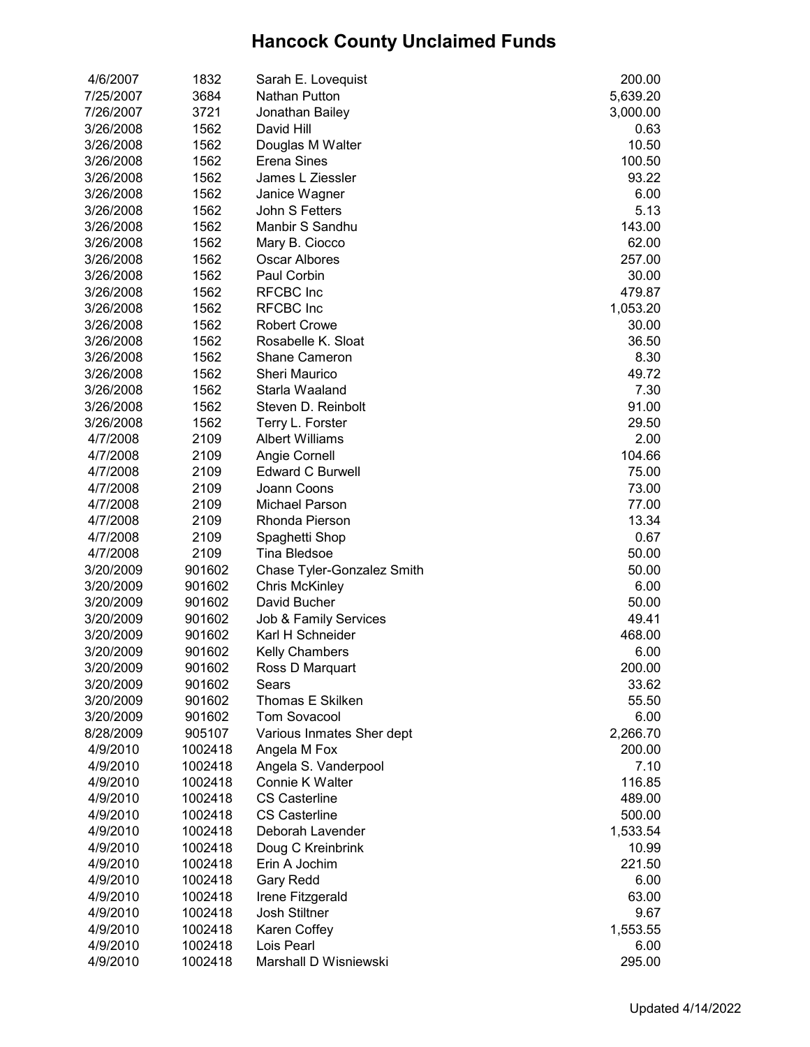| 4/6/2007  | 1832               | Sarah E. Lovequist         | 200.00   |
|-----------|--------------------|----------------------------|----------|
| 7/25/2007 | 3684               | Nathan Putton              | 5,639.20 |
| 7/26/2007 | 3721               | Jonathan Bailey            | 3,000.00 |
| 3/26/2008 | 1562               | David Hill                 | 0.63     |
| 3/26/2008 | 1562               | Douglas M Walter           | 10.50    |
| 3/26/2008 | 1562               | Erena Sines                | 100.50   |
| 3/26/2008 | 1562               | James L Ziessler           | 93.22    |
| 3/26/2008 | 1562               | Janice Wagner              | 6.00     |
| 3/26/2008 | 1562               | John S Fetters             | 5.13     |
| 3/26/2008 | 1562               | Manbir S Sandhu            | 143.00   |
| 3/26/2008 | 1562               | Mary B. Ciocco             | 62.00    |
| 3/26/2008 | 1562               | Oscar Albores              | 257.00   |
| 3/26/2008 | 1562               | Paul Corbin                | 30.00    |
| 3/26/2008 | 1562               | <b>RFCBC</b> Inc           | 479.87   |
| 3/26/2008 | 1562               | <b>RFCBC</b> Inc           | 1,053.20 |
| 3/26/2008 | 1562               | <b>Robert Crowe</b>        | 30.00    |
| 3/26/2008 | 1562               | Rosabelle K. Sloat         | 36.50    |
| 3/26/2008 | 1562               | <b>Shane Cameron</b>       | 8.30     |
| 3/26/2008 | 1562               | <b>Sheri Maurico</b>       | 49.72    |
| 3/26/2008 | 1562               | Starla Waaland             | 7.30     |
| 3/26/2008 | 1562               | Steven D. Reinbolt         | 91.00    |
| 3/26/2008 | 1562               | Terry L. Forster           | 29.50    |
| 4/7/2008  | 2109               | <b>Albert Williams</b>     | 2.00     |
| 4/7/2008  | 2109               | Angie Cornell              | 104.66   |
| 4/7/2008  | 2109               | <b>Edward C Burwell</b>    | 75.00    |
| 4/7/2008  | 2109               | Joann Coons                | 73.00    |
| 4/7/2008  | 2109               | Michael Parson             | 77.00    |
| 4/7/2008  | 2109               | Rhonda Pierson             | 13.34    |
| 4/7/2008  | 2109               | Spaghetti Shop             | 0.67     |
| 4/7/2008  | 2109               | Tina Bledsoe               | 50.00    |
| 3/20/2009 | 901602             | Chase Tyler-Gonzalez Smith | 50.00    |
| 3/20/2009 | 901602             | <b>Chris McKinley</b>      | 6.00     |
| 3/20/2009 | 901602             | David Bucher               | 50.00    |
| 3/20/2009 | 901602             | Job & Family Services      | 49.41    |
| 3/20/2009 | 901602             | Karl H Schneider           | 468.00   |
| 3/20/2009 | 901602             | <b>Kelly Chambers</b>      | 6.00     |
| 3/20/2009 | 901602             | Ross D Marquart            | 200.00   |
| 3/20/2009 | 901602             | Sears                      | 33.62    |
| 3/20/2009 | 901602             | <b>Thomas E Skilken</b>    | 55.50    |
| 3/20/2009 | 901602             | <b>Tom Sovacool</b>        | 6.00     |
| 8/28/2009 | 905107             | Various Inmates Sher dept  | 2,266.70 |
| 4/9/2010  | 1002418            | Angela M Fox               | 200.00   |
| 4/9/2010  | 1002418            | Angela S. Vanderpool       | 7.10     |
| 4/9/2010  | 1002418            | Connie K Walter            | 116.85   |
| 4/9/2010  | 1002418            | <b>CS Casterline</b>       | 489.00   |
| 4/9/2010  |                    | <b>CS Casterline</b>       | 500.00   |
|           | 1002418<br>1002418 | Deborah Lavender           |          |
| 4/9/2010  |                    | Doug C Kreinbrink          | 1,533.54 |
| 4/9/2010  | 1002418            |                            | 10.99    |
| 4/9/2010  | 1002418            | Erin A Jochim              | 221.50   |
| 4/9/2010  | 1002418            | <b>Gary Redd</b>           | 6.00     |
| 4/9/2010  | 1002418            | Irene Fitzgerald           | 63.00    |
| 4/9/2010  | 1002418            | Josh Stiltner              | 9.67     |
| 4/9/2010  | 1002418            | Karen Coffey               | 1,553.55 |
| 4/9/2010  | 1002418            | Lois Pearl                 | 6.00     |
| 4/9/2010  | 1002418            | Marshall D Wisniewski      | 295.00   |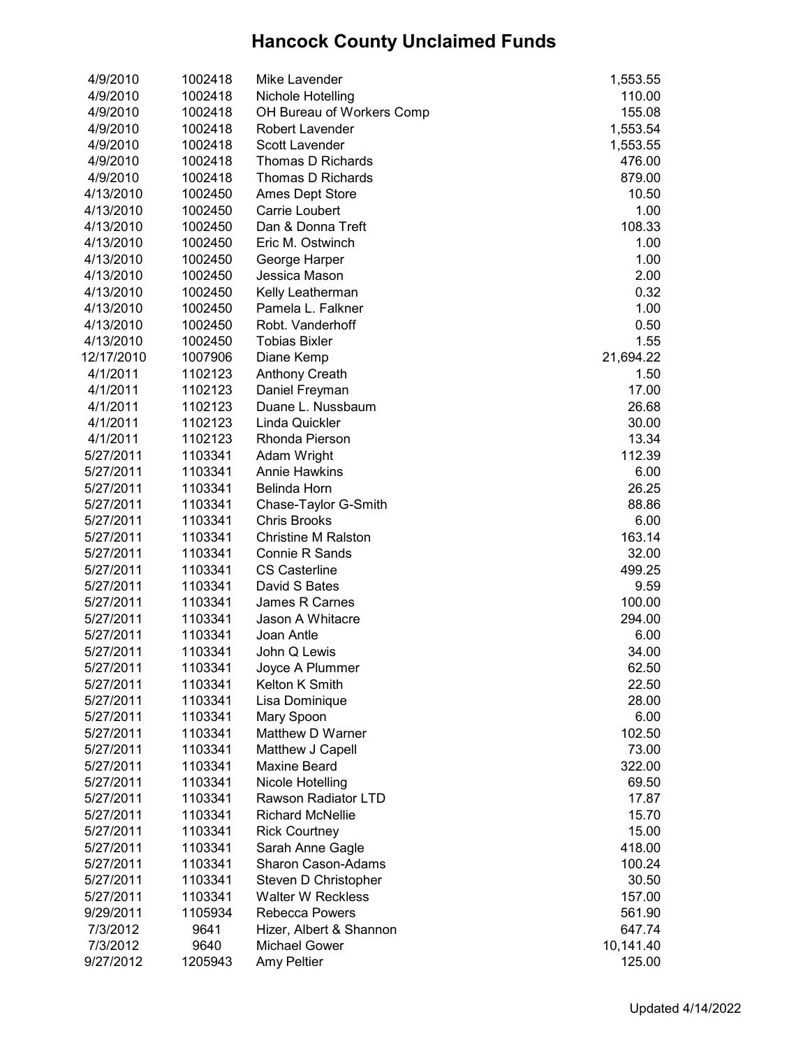| 4/9/2010   | 1002418 | Mike Lavender              | 1,553.55  |
|------------|---------|----------------------------|-----------|
| 4/9/2010   | 1002418 | Nichole Hotelling          | 110.00    |
| 4/9/2010   | 1002418 | OH Bureau of Workers Comp  | 155.08    |
| 4/9/2010   | 1002418 | Robert Lavender            | 1,553.54  |
| 4/9/2010   | 1002418 | Scott Lavender             | 1,553.55  |
| 4/9/2010   | 1002418 | Thomas D Richards          | 476.00    |
| 4/9/2010   | 1002418 | Thomas D Richards          | 879.00    |
| 4/13/2010  | 1002450 | <b>Ames Dept Store</b>     | 10.50     |
| 4/13/2010  | 1002450 | Carrie Loubert             | 1.00      |
| 4/13/2010  | 1002450 | Dan & Donna Treft          | 108.33    |
| 4/13/2010  | 1002450 | Eric M. Ostwinch           | 1.00      |
| 4/13/2010  | 1002450 | George Harper              | 1.00      |
| 4/13/2010  | 1002450 | Jessica Mason              | 2.00      |
| 4/13/2010  | 1002450 | Kelly Leatherman           | 0.32      |
| 4/13/2010  | 1002450 | Pamela L. Falkner          | 1.00      |
| 4/13/2010  | 1002450 | Robt. Vanderhoff           | 0.50      |
| 4/13/2010  | 1002450 | <b>Tobias Bixler</b>       | 1.55      |
| 12/17/2010 | 1007906 | Diane Kemp                 | 21,694.22 |
| 4/1/2011   | 1102123 | <b>Anthony Creath</b>      | 1.50      |
| 4/1/2011   | 1102123 | Daniel Freyman             | 17.00     |
| 4/1/2011   | 1102123 | Duane L. Nussbaum          | 26.68     |
| 4/1/2011   | 1102123 | Linda Quickler             | 30.00     |
| 4/1/2011   | 1102123 | Rhonda Pierson             | 13.34     |
| 5/27/2011  | 1103341 | Adam Wright                | 112.39    |
| 5/27/2011  | 1103341 | <b>Annie Hawkins</b>       | 6.00      |
| 5/27/2011  | 1103341 | Belinda Horn               | 26.25     |
| 5/27/2011  | 1103341 | Chase-Taylor G-Smith       | 88.86     |
| 5/27/2011  | 1103341 | <b>Chris Brooks</b>        | 6.00      |
| 5/27/2011  | 1103341 | <b>Christine M Ralston</b> | 163.14    |
| 5/27/2011  | 1103341 | Connie R Sands             | 32.00     |
| 5/27/2011  | 1103341 | <b>CS Casterline</b>       | 499.25    |
| 5/27/2011  | 1103341 | David S Bates              | 9.59      |
| 5/27/2011  | 1103341 | James R Carnes             | 100.00    |
| 5/27/2011  | 1103341 | Jason A Whitacre           | 294.00    |
| 5/27/2011  | 1103341 | Joan Antle                 | 6.00      |
| 5/27/2011  | 1103341 | John Q Lewis               | 34.00     |
| 5/27/2011  | 1103341 | Joyce A Plummer            | 62.50     |
| 5/27/2011  | 1103341 | Kelton K Smith             | 22.50     |
| 5/27/2011  | 1103341 | Lisa Dominique             | 28.00     |
| 5/27/2011  | 1103341 | Mary Spoon                 | 6.00      |
| 5/27/2011  | 1103341 | Matthew D Warner           | 102.50    |
| 5/27/2011  | 1103341 | Matthew J Capell           | 73.00     |
| 5/27/2011  | 1103341 | <b>Maxine Beard</b>        | 322.00    |
| 5/27/2011  | 1103341 | Nicole Hotelling           | 69.50     |
| 5/27/2011  | 1103341 | Rawson Radiator LTD        | 17.87     |
| 5/27/2011  | 1103341 | <b>Richard McNellie</b>    | 15.70     |
| 5/27/2011  | 1103341 | <b>Rick Courtney</b>       | 15.00     |
| 5/27/2011  | 1103341 | Sarah Anne Gagle           | 418.00    |
| 5/27/2011  | 1103341 | Sharon Cason-Adams         | 100.24    |
| 5/27/2011  | 1103341 | Steven D Christopher       | 30.50     |
| 5/27/2011  | 1103341 | <b>Walter W Reckless</b>   | 157.00    |
| 9/29/2011  | 1105934 | <b>Rebecca Powers</b>      | 561.90    |
| 7/3/2012   | 9641    | Hizer, Albert & Shannon    | 647.74    |
| 7/3/2012   | 9640    | Michael Gower              | 10,141.40 |
|            |         |                            |           |
| 9/27/2012  | 1205943 | Amy Peltier                | 125.00    |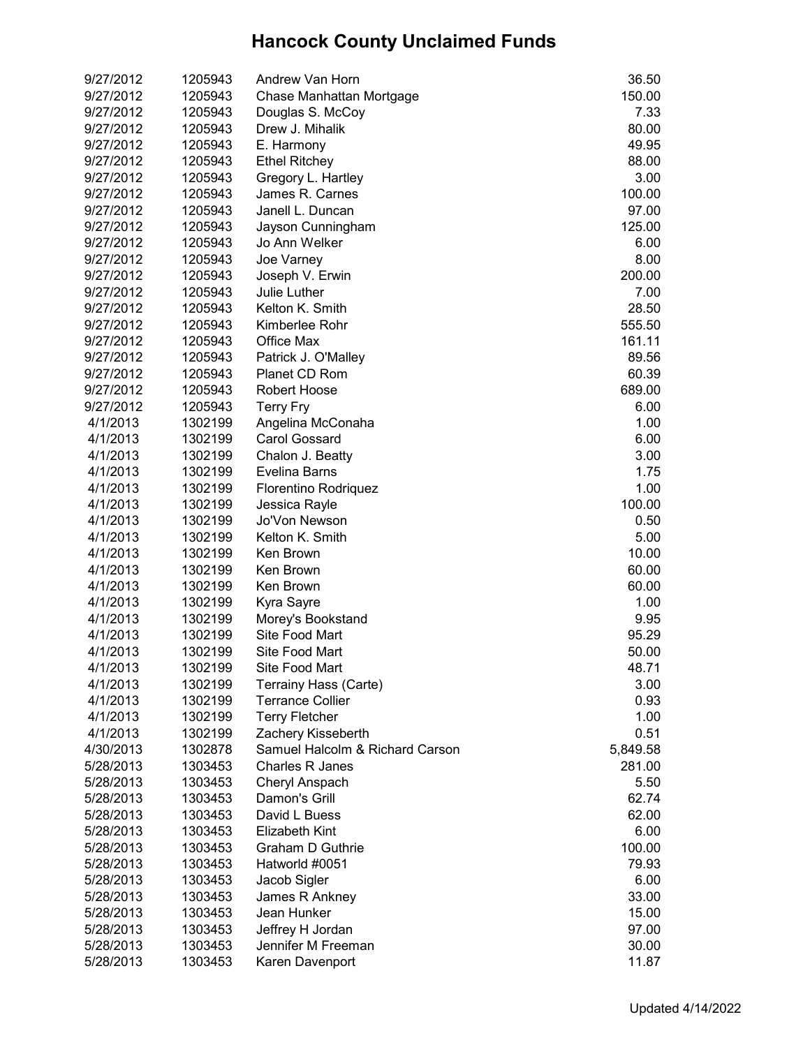| 9/27/2012 | 1205943 | Andrew Van Horn                 | 36.50    |
|-----------|---------|---------------------------------|----------|
| 9/27/2012 | 1205943 | Chase Manhattan Mortgage        | 150.00   |
| 9/27/2012 | 1205943 | Douglas S. McCoy                | 7.33     |
| 9/27/2012 | 1205943 | Drew J. Mihalik                 | 80.00    |
| 9/27/2012 | 1205943 | E. Harmony                      | 49.95    |
|           |         |                                 |          |
| 9/27/2012 | 1205943 | <b>Ethel Ritchey</b>            | 88.00    |
| 9/27/2012 | 1205943 | Gregory L. Hartley              | 3.00     |
| 9/27/2012 | 1205943 | James R. Carnes                 | 100.00   |
| 9/27/2012 | 1205943 | Janell L. Duncan                | 97.00    |
| 9/27/2012 | 1205943 | Jayson Cunningham               | 125.00   |
| 9/27/2012 | 1205943 | Jo Ann Welker                   | 6.00     |
| 9/27/2012 | 1205943 | Joe Varney                      | 8.00     |
| 9/27/2012 | 1205943 | Joseph V. Erwin                 | 200.00   |
| 9/27/2012 | 1205943 | Julie Luther                    | 7.00     |
| 9/27/2012 | 1205943 | Kelton K. Smith                 | 28.50    |
| 9/27/2012 | 1205943 | Kimberlee Rohr                  | 555.50   |
| 9/27/2012 | 1205943 | Office Max                      | 161.11   |
| 9/27/2012 | 1205943 | Patrick J. O'Malley             | 89.56    |
| 9/27/2012 | 1205943 | Planet CD Rom                   | 60.39    |
| 9/27/2012 | 1205943 | <b>Robert Hoose</b>             | 689.00   |
| 9/27/2012 | 1205943 | <b>Terry Fry</b>                | 6.00     |
| 4/1/2013  | 1302199 | Angelina McConaha               | 1.00     |
| 4/1/2013  | 1302199 | <b>Carol Gossard</b>            | 6.00     |
| 4/1/2013  | 1302199 | Chalon J. Beatty                | 3.00     |
| 4/1/2013  | 1302199 | Evelina Barns                   | 1.75     |
| 4/1/2013  | 1302199 | Florentino Rodriquez            | 1.00     |
| 4/1/2013  | 1302199 | Jessica Rayle                   | 100.00   |
| 4/1/2013  | 1302199 | Jo'Von Newson                   | 0.50     |
| 4/1/2013  | 1302199 | Kelton K. Smith                 | 5.00     |
| 4/1/2013  | 1302199 | Ken Brown                       | 10.00    |
| 4/1/2013  | 1302199 | Ken Brown                       | 60.00    |
| 4/1/2013  | 1302199 | Ken Brown                       | 60.00    |
| 4/1/2013  | 1302199 | Kyra Sayre                      | 1.00     |
| 4/1/2013  | 1302199 | Morey's Bookstand               | 9.95     |
| 4/1/2013  | 1302199 | Site Food Mart                  | 95.29    |
| 4/1/2013  | 1302199 | Site Food Mart                  | 50.00    |
| 4/1/2013  | 1302199 | Site Food Mart                  | 48.71    |
|           |         |                                 |          |
| 4/1/2013  | 1302199 | Terrainy Hass (Carte)           | 3.00     |
| 4/1/2013  | 1302199 | <b>Terrance Collier</b>         | 0.93     |
| 4/1/2013  | 1302199 | <b>Terry Fletcher</b>           | 1.00     |
| 4/1/2013  | 1302199 | Zachery Kisseberth              | 0.51     |
| 4/30/2013 | 1302878 | Samuel Halcolm & Richard Carson | 5,849.58 |
| 5/28/2013 | 1303453 | <b>Charles R Janes</b>          | 281.00   |
| 5/28/2013 | 1303453 | Cheryl Anspach                  | 5.50     |
| 5/28/2013 | 1303453 | Damon's Grill                   | 62.74    |
| 5/28/2013 | 1303453 | David L Buess                   | 62.00    |
| 5/28/2013 | 1303453 | <b>Elizabeth Kint</b>           | 6.00     |
| 5/28/2013 | 1303453 | <b>Graham D Guthrie</b>         | 100.00   |
| 5/28/2013 | 1303453 | Hatworld #0051                  | 79.93    |
| 5/28/2013 | 1303453 | Jacob Sigler                    | 6.00     |
| 5/28/2013 | 1303453 | James R Ankney                  | 33.00    |
| 5/28/2013 | 1303453 | Jean Hunker                     | 15.00    |
| 5/28/2013 | 1303453 | Jeffrey H Jordan                | 97.00    |
| 5/28/2013 | 1303453 | Jennifer M Freeman              | 30.00    |
| 5/28/2013 | 1303453 | Karen Davenport                 | 11.87    |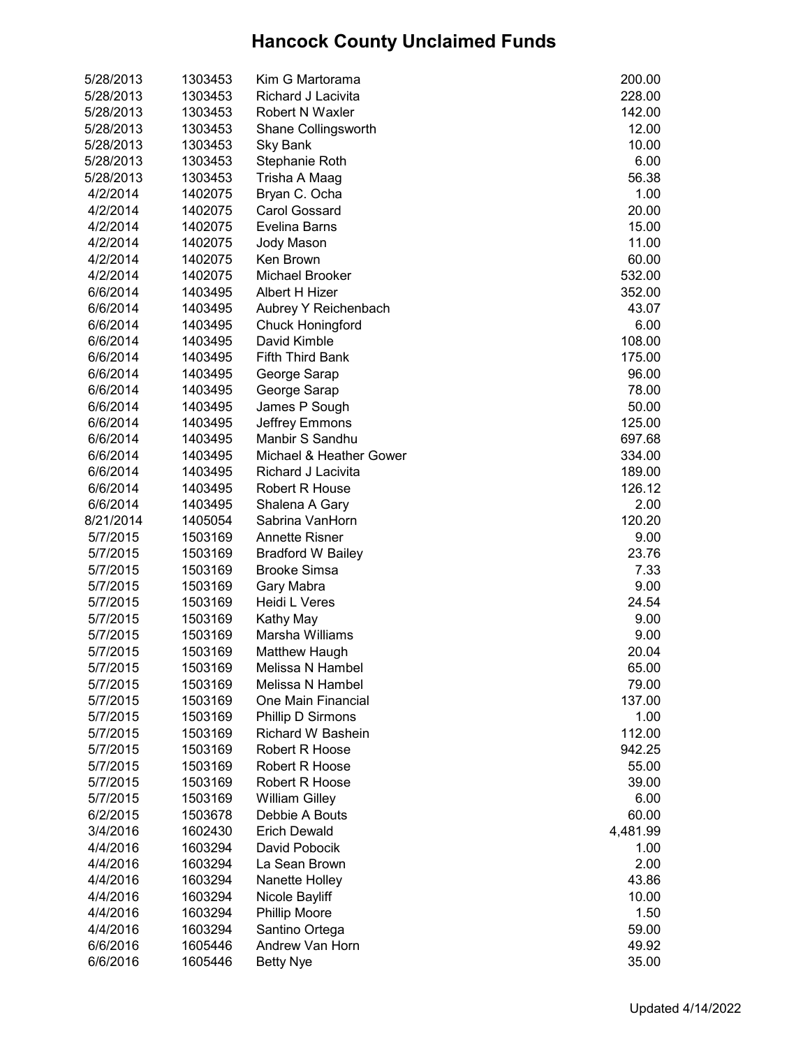| 5/28/2013 | 1303453 | Kim G Martorama                   | 200.00   |
|-----------|---------|-----------------------------------|----------|
| 5/28/2013 | 1303453 | Richard J Lacivita                | 228.00   |
| 5/28/2013 | 1303453 | <b>Robert N Waxler</b>            | 142.00   |
| 5/28/2013 | 1303453 | Shane Collingsworth               | 12.00    |
| 5/28/2013 | 1303453 | Sky Bank                          | 10.00    |
| 5/28/2013 | 1303453 | Stephanie Roth                    | 6.00     |
| 5/28/2013 | 1303453 | Trisha A Maag                     | 56.38    |
| 4/2/2014  | 1402075 | Bryan C. Ocha                     | 1.00     |
| 4/2/2014  | 1402075 | <b>Carol Gossard</b>              | 20.00    |
| 4/2/2014  | 1402075 | Evelina Barns                     | 15.00    |
| 4/2/2014  | 1402075 | Jody Mason                        | 11.00    |
| 4/2/2014  | 1402075 | Ken Brown                         | 60.00    |
| 4/2/2014  | 1402075 | Michael Brooker                   | 532.00   |
| 6/6/2014  | 1403495 | Albert H Hizer                    | 352.00   |
| 6/6/2014  | 1403495 | Aubrey Y Reichenbach              | 43.07    |
| 6/6/2014  | 1403495 | <b>Chuck Honingford</b>           | 6.00     |
| 6/6/2014  | 1403495 | David Kimble                      | 108.00   |
| 6/6/2014  | 1403495 | <b>Fifth Third Bank</b>           | 175.00   |
| 6/6/2014  | 1403495 | George Sarap                      | 96.00    |
| 6/6/2014  | 1403495 | George Sarap                      | 78.00    |
| 6/6/2014  | 1403495 | James P Sough                     | 50.00    |
| 6/6/2014  | 1403495 | Jeffrey Emmons                    | 125.00   |
| 6/6/2014  | 1403495 | Manbir S Sandhu                   | 697.68   |
| 6/6/2014  | 1403495 | Michael & Heather Gower           | 334.00   |
| 6/6/2014  | 1403495 | Richard J Lacivita                | 189.00   |
| 6/6/2014  | 1403495 | <b>Robert R House</b>             | 126.12   |
| 6/6/2014  | 1403495 | Shalena A Gary                    | 2.00     |
| 8/21/2014 | 1405054 | Sabrina VanHorn                   | 120.20   |
| 5/7/2015  | 1503169 | <b>Annette Risner</b>             | 9.00     |
| 5/7/2015  | 1503169 | <b>Bradford W Bailey</b>          | 23.76    |
| 5/7/2015  | 1503169 | <b>Brooke Simsa</b>               | 7.33     |
| 5/7/2015  | 1503169 | Gary Mabra                        | 9.00     |
| 5/7/2015  | 1503169 | Heidi L Veres                     | 24.54    |
| 5/7/2015  | 1503169 | Kathy May                         | 9.00     |
| 5/7/2015  | 1503169 | Marsha Williams                   | 9.00     |
| 5/7/2015  | 1503169 | Matthew Haugh                     | 20.04    |
| 5/7/2015  | 1503169 | Melissa N Hambel                  | 65.00    |
| 5/7/2015  | 1503169 | Melissa N Hambel                  | 79.00    |
| 5/7/2015  | 1503169 | One Main Financial                | 137.00   |
| 5/7/2015  | 1503169 | Phillip D Sirmons                 | 1.00     |
| 5/7/2015  | 1503169 | Richard W Bashein                 | 112.00   |
| 5/7/2015  | 1503169 | Robert R Hoose                    | 942.25   |
| 5/7/2015  | 1503169 | Robert R Hoose                    | 55.00    |
| 5/7/2015  | 1503169 | Robert R Hoose                    | 39.00    |
| 5/7/2015  | 1503169 | <b>William Gilley</b>             | 6.00     |
| 6/2/2015  | 1503678 | Debbie A Bouts                    | 60.00    |
| 3/4/2016  | 1602430 | <b>Erich Dewald</b>               | 4,481.99 |
|           |         | David Pobocik                     | 1.00     |
| 4/4/2016  | 1603294 |                                   |          |
| 4/4/2016  | 1603294 | La Sean Brown                     | 2.00     |
| 4/4/2016  | 1603294 | Nanette Holley                    | 43.86    |
| 4/4/2016  | 1603294 | Nicole Bayliff                    | 10.00    |
| 4/4/2016  | 1603294 | Phillip Moore                     | 1.50     |
| 4/4/2016  | 1603294 | Santino Ortega<br>Andrew Van Horn | 59.00    |
| 6/6/2016  | 1605446 |                                   | 49.92    |
| 6/6/2016  | 1605446 | <b>Betty Nye</b>                  | 35.00    |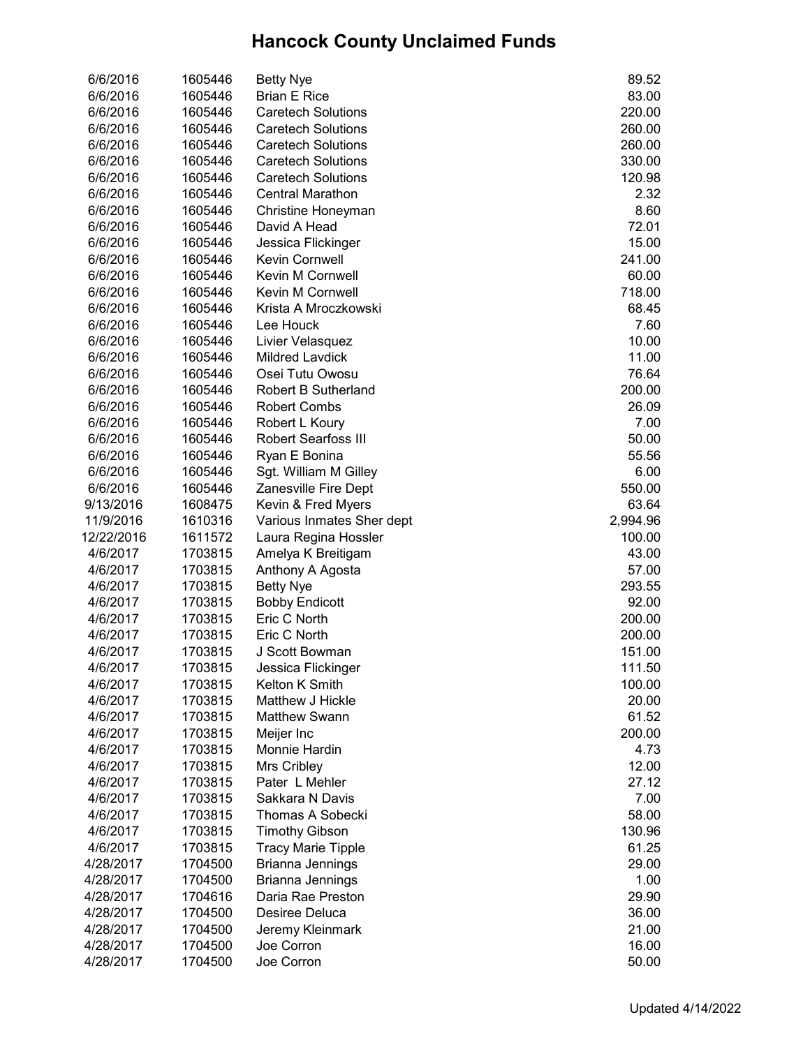| 6/6/2016   | 1605446 | <b>Betty Nye</b>           | 89.52    |
|------------|---------|----------------------------|----------|
| 6/6/2016   | 1605446 | <b>Brian E Rice</b>        | 83.00    |
| 6/6/2016   | 1605446 | <b>Caretech Solutions</b>  | 220.00   |
| 6/6/2016   | 1605446 | <b>Caretech Solutions</b>  | 260.00   |
| 6/6/2016   | 1605446 | <b>Caretech Solutions</b>  | 260.00   |
| 6/6/2016   | 1605446 | <b>Caretech Solutions</b>  | 330.00   |
| 6/6/2016   | 1605446 | <b>Caretech Solutions</b>  | 120.98   |
| 6/6/2016   | 1605446 | Central Marathon           | 2.32     |
| 6/6/2016   | 1605446 | Christine Honeyman         | 8.60     |
| 6/6/2016   | 1605446 | David A Head               | 72.01    |
| 6/6/2016   | 1605446 | Jessica Flickinger         | 15.00    |
| 6/6/2016   | 1605446 | <b>Kevin Cornwell</b>      | 241.00   |
| 6/6/2016   | 1605446 | Kevin M Cornwell           | 60.00    |
| 6/6/2016   | 1605446 | <b>Kevin M Cornwell</b>    | 718.00   |
| 6/6/2016   | 1605446 | Krista A Mroczkowski       | 68.45    |
| 6/6/2016   | 1605446 | Lee Houck                  | 7.60     |
| 6/6/2016   | 1605446 | Livier Velasquez           | 10.00    |
| 6/6/2016   | 1605446 | <b>Mildred Lavdick</b>     | 11.00    |
| 6/6/2016   | 1605446 | Osei Tutu Owosu            | 76.64    |
| 6/6/2016   | 1605446 | <b>Robert B Sutherland</b> | 200.00   |
| 6/6/2016   | 1605446 | <b>Robert Combs</b>        | 26.09    |
| 6/6/2016   | 1605446 | Robert L Koury             | 7.00     |
| 6/6/2016   | 1605446 | Robert Searfoss III        | 50.00    |
| 6/6/2016   | 1605446 | Ryan E Bonina              | 55.56    |
| 6/6/2016   | 1605446 | Sgt. William M Gilley      | 6.00     |
| 6/6/2016   | 1605446 | Zanesville Fire Dept       | 550.00   |
| 9/13/2016  | 1608475 | Kevin & Fred Myers         | 63.64    |
| 11/9/2016  | 1610316 | Various Inmates Sher dept  | 2,994.96 |
| 12/22/2016 | 1611572 | Laura Regina Hossler       | 100.00   |
| 4/6/2017   | 1703815 | Amelya K Breitigam         | 43.00    |
| 4/6/2017   | 1703815 | Anthony A Agosta           | 57.00    |
| 4/6/2017   | 1703815 | <b>Betty Nye</b>           | 293.55   |
| 4/6/2017   | 1703815 | <b>Bobby Endicott</b>      | 92.00    |
| 4/6/2017   | 1703815 | Eric C North               | 200.00   |
| 4/6/2017   | 1703815 | Eric C North               | 200.00   |
| 4/6/2017   | 1703815 | J Scott Bowman             | 151.00   |
| 4/6/2017   | 1703815 | Jessica Flickinger         | 111.50   |
| 4/6/2017   | 1703815 | Kelton K Smith             | 100.00   |
| 4/6/2017   | 1703815 | Matthew J Hickle           | 20.00    |
| 4/6/2017   | 1703815 | <b>Matthew Swann</b>       | 61.52    |
| 4/6/2017   | 1703815 | Meijer Inc                 | 200.00   |
| 4/6/2017   | 1703815 | Monnie Hardin              | 4.73     |
| 4/6/2017   | 1703815 | Mrs Cribley                | 12.00    |
| 4/6/2017   | 1703815 | Pater L Mehler             | 27.12    |
| 4/6/2017   | 1703815 | Sakkara N Davis            | 7.00     |
| 4/6/2017   | 1703815 | Thomas A Sobecki           | 58.00    |
| 4/6/2017   | 1703815 | <b>Timothy Gibson</b>      | 130.96   |
| 4/6/2017   | 1703815 | <b>Tracy Marie Tipple</b>  | 61.25    |
| 4/28/2017  | 1704500 | Brianna Jennings           | 29.00    |
| 4/28/2017  | 1704500 | Brianna Jennings           | 1.00     |
| 4/28/2017  | 1704616 | Daria Rae Preston          | 29.90    |
| 4/28/2017  | 1704500 | Desiree Deluca             | 36.00    |
| 4/28/2017  | 1704500 | Jeremy Kleinmark           | 21.00    |
| 4/28/2017  | 1704500 | Joe Corron                 | 16.00    |
| 4/28/2017  | 1704500 | Joe Corron                 | 50.00    |
|            |         |                            |          |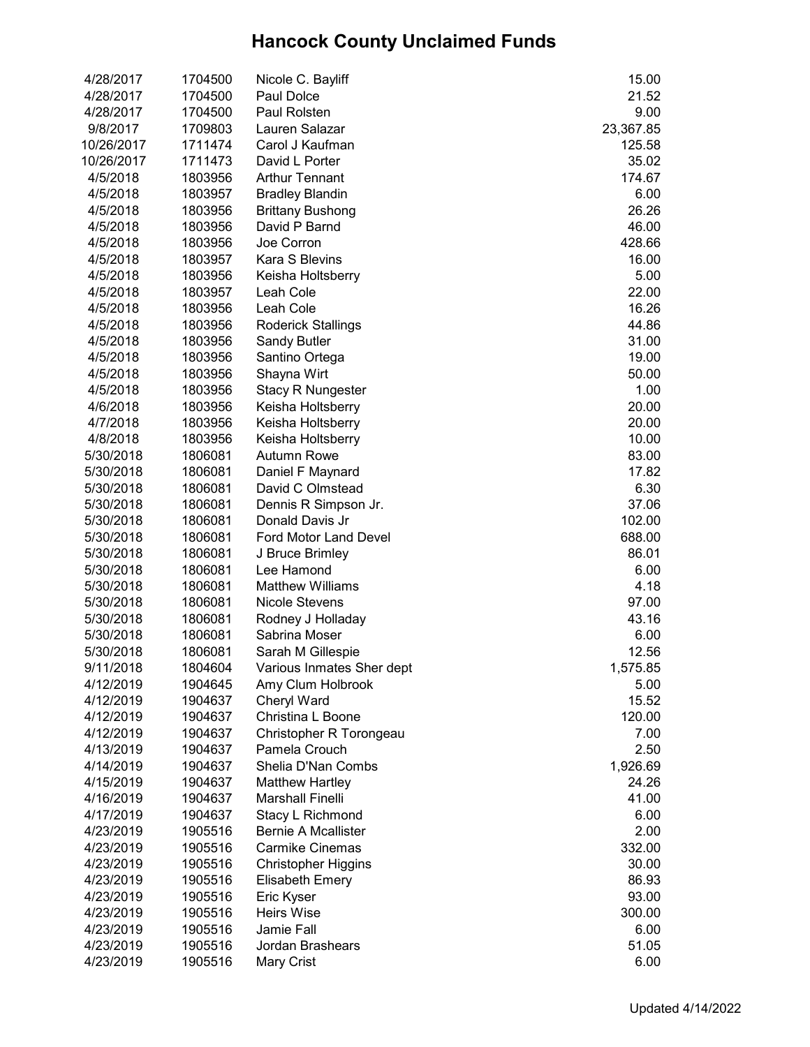| 4/28/2017  | 1704500 | Nicole C. Bayliff          | 15.00     |
|------------|---------|----------------------------|-----------|
| 4/28/2017  | 1704500 | Paul Dolce                 | 21.52     |
| 4/28/2017  | 1704500 | Paul Rolsten               | 9.00      |
| 9/8/2017   | 1709803 | Lauren Salazar             | 23,367.85 |
| 10/26/2017 | 1711474 | Carol J Kaufman            | 125.58    |
| 10/26/2017 | 1711473 | David L Porter             | 35.02     |
| 4/5/2018   | 1803956 | <b>Arthur Tennant</b>      | 174.67    |
| 4/5/2018   | 1803957 | <b>Bradley Blandin</b>     | 6.00      |
| 4/5/2018   | 1803956 | <b>Brittany Bushong</b>    | 26.26     |
| 4/5/2018   | 1803956 | David P Barnd              | 46.00     |
| 4/5/2018   | 1803956 | Joe Corron                 | 428.66    |
| 4/5/2018   | 1803957 | <b>Kara S Blevins</b>      | 16.00     |
| 4/5/2018   | 1803956 | Keisha Holtsberry          | 5.00      |
| 4/5/2018   | 1803957 | Leah Cole                  | 22.00     |
| 4/5/2018   | 1803956 | Leah Cole                  | 16.26     |
| 4/5/2018   | 1803956 | <b>Roderick Stallings</b>  | 44.86     |
| 4/5/2018   | 1803956 | <b>Sandy Butler</b>        | 31.00     |
| 4/5/2018   | 1803956 | Santino Ortega             | 19.00     |
| 4/5/2018   | 1803956 | Shayna Wirt                | 50.00     |
| 4/5/2018   | 1803956 | <b>Stacy R Nungester</b>   | 1.00      |
| 4/6/2018   | 1803956 | Keisha Holtsberry          | 20.00     |
| 4/7/2018   | 1803956 | Keisha Holtsberry          | 20.00     |
| 4/8/2018   | 1803956 | Keisha Holtsberry          | 10.00     |
| 5/30/2018  | 1806081 | <b>Autumn Rowe</b>         | 83.00     |
| 5/30/2018  | 1806081 | Daniel F Maynard           | 17.82     |
| 5/30/2018  | 1806081 | David C Olmstead           | 6.30      |
| 5/30/2018  | 1806081 | Dennis R Simpson Jr.       | 37.06     |
| 5/30/2018  | 1806081 | Donald Davis Jr            | 102.00    |
| 5/30/2018  | 1806081 | Ford Motor Land Devel      | 688.00    |
| 5/30/2018  | 1806081 | J Bruce Brimley            | 86.01     |
| 5/30/2018  | 1806081 | Lee Hamond                 | 6.00      |
| 5/30/2018  | 1806081 | <b>Matthew Williams</b>    | 4.18      |
| 5/30/2018  | 1806081 | <b>Nicole Stevens</b>      | 97.00     |
| 5/30/2018  | 1806081 | Rodney J Holladay          | 43.16     |
| 5/30/2018  | 1806081 | Sabrina Moser              | 6.00      |
| 5/30/2018  | 1806081 | Sarah M Gillespie          | 12.56     |
| 9/11/2018  | 1804604 | Various Inmates Sher dept  | 1,575.85  |
| 4/12/2019  | 1904645 | Amy Clum Holbrook          | 5.00      |
| 4/12/2019  | 1904637 | Cheryl Ward                | 15.52     |
| 4/12/2019  | 1904637 | Christina L Boone          | 120.00    |
| 4/12/2019  | 1904637 | Christopher R Torongeau    | 7.00      |
| 4/13/2019  | 1904637 | Pamela Crouch              | 2.50      |
|            |         | Shelia D'Nan Combs         | 1,926.69  |
| 4/14/2019  | 1904637 |                            |           |
| 4/15/2019  | 1904637 | <b>Matthew Hartley</b>     | 24.26     |
| 4/16/2019  | 1904637 | <b>Marshall Finelli</b>    | 41.00     |
| 4/17/2019  | 1904637 | Stacy L Richmond           | 6.00      |
| 4/23/2019  | 1905516 | <b>Bernie A Mcallister</b> | 2.00      |
| 4/23/2019  | 1905516 | <b>Carmike Cinemas</b>     | 332.00    |
| 4/23/2019  | 1905516 | <b>Christopher Higgins</b> | 30.00     |
| 4/23/2019  | 1905516 | <b>Elisabeth Emery</b>     | 86.93     |
| 4/23/2019  | 1905516 | Eric Kyser                 | 93.00     |
| 4/23/2019  | 1905516 | <b>Heirs Wise</b>          | 300.00    |
| 4/23/2019  | 1905516 | Jamie Fall                 | 6.00      |
| 4/23/2019  | 1905516 | Jordan Brashears           | 51.05     |
| 4/23/2019  | 1905516 | Mary Crist                 | 6.00      |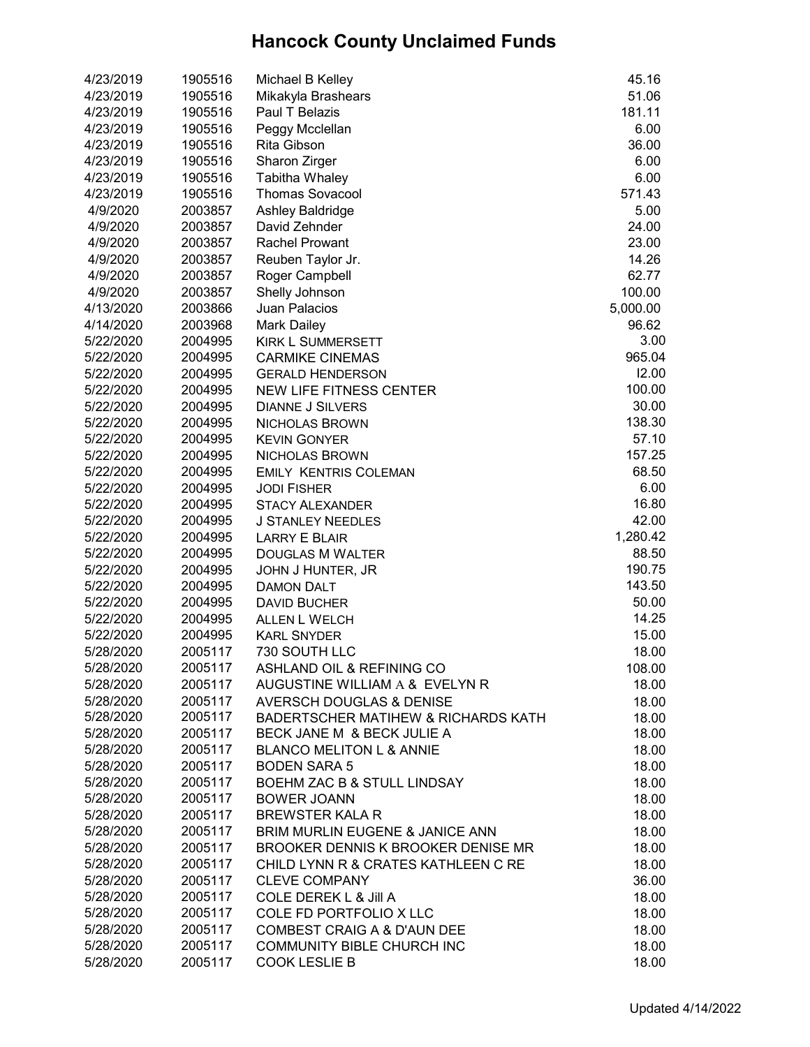| 4/23/2019 | 1905516 | Michael B Kelley                    | 45.16    |
|-----------|---------|-------------------------------------|----------|
| 4/23/2019 | 1905516 | Mikakyla Brashears                  | 51.06    |
| 4/23/2019 | 1905516 | Paul T Belazis                      | 181.11   |
| 4/23/2019 | 1905516 | Peggy Mcclellan                     | 6.00     |
| 4/23/2019 | 1905516 | Rita Gibson                         | 36.00    |
| 4/23/2019 | 1905516 | Sharon Zirger                       | 6.00     |
| 4/23/2019 | 1905516 | Tabitha Whaley                      | 6.00     |
| 4/23/2019 | 1905516 | <b>Thomas Sovacool</b>              | 571.43   |
| 4/9/2020  | 2003857 | Ashley Baldridge                    | 5.00     |
| 4/9/2020  | 2003857 | David Zehnder                       | 24.00    |
| 4/9/2020  | 2003857 | <b>Rachel Prowant</b>               | 23.00    |
| 4/9/2020  | 2003857 | Reuben Taylor Jr.                   | 14.26    |
| 4/9/2020  | 2003857 | Roger Campbell                      | 62.77    |
| 4/9/2020  | 2003857 | Shelly Johnson                      | 100.00   |
| 4/13/2020 | 2003866 | <b>Juan Palacios</b>                | 5,000.00 |
| 4/14/2020 | 2003968 | <b>Mark Dailey</b>                  | 96.62    |
| 5/22/2020 | 2004995 | <b>KIRK L SUMMERSETT</b>            | 3.00     |
| 5/22/2020 | 2004995 | <b>CARMIKE CINEMAS</b>              | 965.04   |
| 5/22/2020 | 2004995 | <b>GERALD HENDERSON</b>             | 12.00    |
| 5/22/2020 | 2004995 | <b>NEW LIFE FITNESS CENTER</b>      | 100.00   |
| 5/22/2020 | 2004995 | <b>DIANNE J SILVERS</b>             | 30.00    |
| 5/22/2020 |         |                                     | 138.30   |
|           | 2004995 | <b>NICHOLAS BROWN</b>               | 57.10    |
| 5/22/2020 | 2004995 | <b>KEVIN GONYER</b>                 | 157.25   |
| 5/22/2020 | 2004995 | NICHOLAS BROWN                      | 68.50    |
| 5/22/2020 | 2004995 | <b>EMILY KENTRIS COLEMAN</b>        |          |
| 5/22/2020 | 2004995 | <b>JODI FISHER</b>                  | 6.00     |
| 5/22/2020 | 2004995 | <b>STACY ALEXANDER</b>              | 16.80    |
| 5/22/2020 | 2004995 | <b>J STANLEY NEEDLES</b>            | 42.00    |
| 5/22/2020 | 2004995 | <b>LARRY E BLAIR</b>                | 1,280.42 |
| 5/22/2020 | 2004995 | <b>DOUGLAS M WALTER</b>             | 88.50    |
| 5/22/2020 | 2004995 | JOHN J HUNTER, JR                   | 190.75   |
| 5/22/2020 | 2004995 | <b>DAMON DALT</b>                   | 143.50   |
| 5/22/2020 | 2004995 | <b>DAVID BUCHER</b>                 | 50.00    |
| 5/22/2020 | 2004995 | <b>ALLEN L WELCH</b>                | 14.25    |
| 5/22/2020 | 2004995 | <b>KARL SNYDER</b>                  | 15.00    |
| 5/28/2020 | 2005117 | 730 SOUTH LLC                       | 18.00    |
| 5/28/2020 | 2005117 | ASHLAND OIL & REFINING CO           | 108.00   |
| 5/28/2020 | 2005117 | AUGUSTINE WILLIAM A & EVELYN R      | 18.00    |
| 5/28/2020 | 2005117 | <b>AVERSCH DOUGLAS &amp; DENISE</b> | 18.00    |
| 5/28/2020 | 2005117 | BADERTSCHER MATIHEW & RICHARDS KATH | 18.00    |
| 5/28/2020 | 2005117 | BECK JANE M & BECK JULIE A          | 18.00    |
| 5/28/2020 | 2005117 | <b>BLANCO MELITON L &amp; ANNIE</b> | 18.00    |
| 5/28/2020 | 2005117 | <b>BODEN SARA 5</b>                 | 18.00    |
| 5/28/2020 | 2005117 | BOEHM ZAC B & STULL LINDSAY         | 18.00    |
| 5/28/2020 | 2005117 | <b>BOWER JOANN</b>                  | 18.00    |
| 5/28/2020 | 2005117 | <b>BREWSTER KALA R</b>              | 18.00    |
| 5/28/2020 | 2005117 | BRIM MURLIN EUGENE & JANICE ANN     | 18.00    |
| 5/28/2020 | 2005117 | BROOKER DENNIS K BROOKER DENISE MR  | 18.00    |
| 5/28/2020 | 2005117 | CHILD LYNN R & CRATES KATHLEEN C RE | 18.00    |
| 5/28/2020 | 2005117 | <b>CLEVE COMPANY</b>                | 36.00    |
| 5/28/2020 | 2005117 | <b>COLE DEREK L &amp; Jill A</b>    | 18.00    |
| 5/28/2020 | 2005117 | COLE FD PORTFOLIO X LLC             | 18.00    |
| 5/28/2020 | 2005117 | COMBEST CRAIG A & D'AUN DEE         | 18.00    |
| 5/28/2020 | 2005117 | COMMUNITY BIBLE CHURCH INC          | 18.00    |
| 5/28/2020 | 2005117 | <b>COOK LESLIE B</b>                | 18.00    |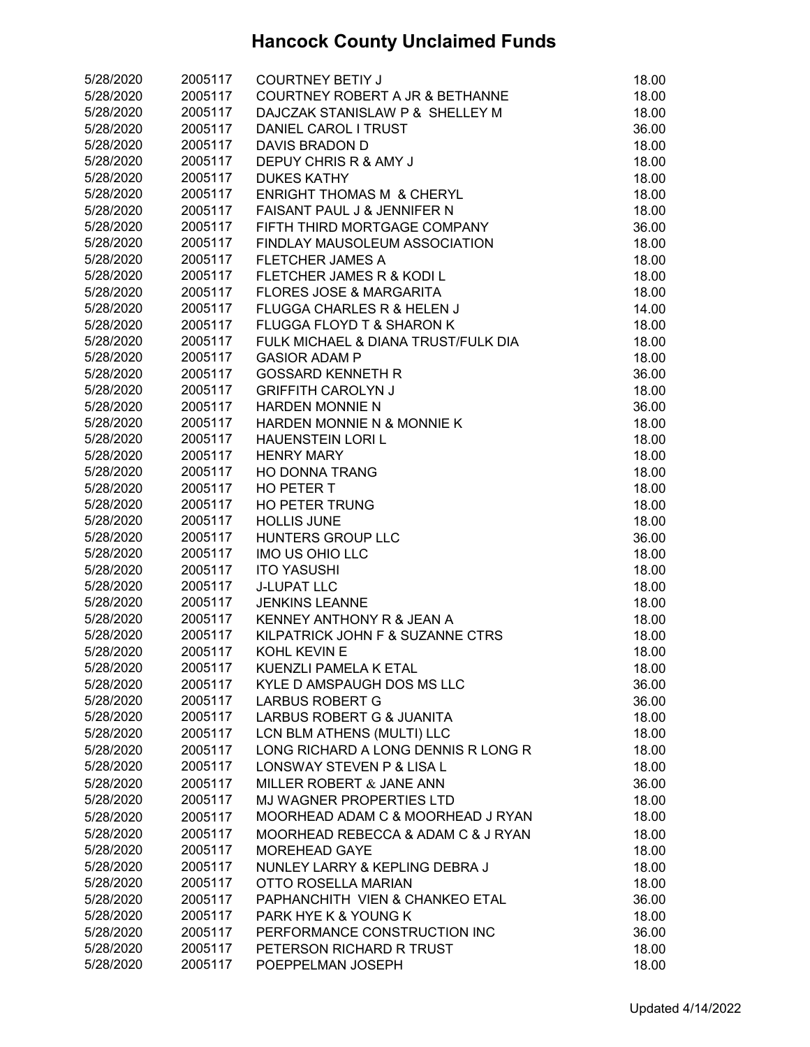| 5/28/2020              | 2005117            | <b>COURTNEY BETIY J</b>              | 18.00 |
|------------------------|--------------------|--------------------------------------|-------|
| 5/28/2020              | 2005117            | COURTNEY ROBERT A JR & BETHANNE      | 18.00 |
| 5/28/2020              | 2005117            | DAJCZAK STANISLAW P & SHELLEY M      | 18.00 |
| 5/28/2020              | 2005117            | DANIEL CAROL I TRUST                 | 36.00 |
| 5/28/2020              | 2005117            | DAVIS BRADON D                       | 18.00 |
| 5/28/2020              | 2005117            | DEPUY CHRIS R & AMY J                | 18.00 |
| 5/28/2020              | 2005117            | <b>DUKES KATHY</b>                   | 18.00 |
| 5/28/2020              | 2005117            | <b>ENRIGHT THOMAS M &amp; CHERYL</b> | 18.00 |
| 5/28/2020              | 2005117            | FAISANT PAUL J & JENNIFER N          | 18.00 |
| 5/28/2020              | 2005117            | FIFTH THIRD MORTGAGE COMPANY         | 36.00 |
| 5/28/2020              | 2005117            | FINDLAY MAUSOLEUM ASSOCIATION        | 18.00 |
| 5/28/2020              | 2005117            | <b>FLETCHER JAMES A</b>              | 18.00 |
| 5/28/2020              | 2005117            | FLETCHER JAMES R & KODI L            | 18.00 |
| 5/28/2020              | 2005117            | <b>FLORES JOSE &amp; MARGARITA</b>   | 18.00 |
| 5/28/2020              | 2005117            | FLUGGA CHARLES R & HELEN J           | 14.00 |
| 5/28/2020              | 2005117            | FLUGGA FLOYD T & SHARON K            | 18.00 |
| 5/28/2020              | 2005117            | FULK MICHAEL & DIANA TRUST/FULK DIA  | 18.00 |
| 5/28/2020              | 2005117            | <b>GASIOR ADAM P</b>                 | 18.00 |
| 5/28/2020              | 2005117            | <b>GOSSARD KENNETH R</b>             | 36.00 |
| 5/28/2020              | 2005117            | <b>GRIFFITH CAROLYN J</b>            | 18.00 |
| 5/28/2020              | 2005117            | <b>HARDEN MONNIE N</b>               | 36.00 |
| 5/28/2020              | 2005117            | HARDEN MONNIE N & MONNIE K           | 18.00 |
| 5/28/2020              | 2005117            | <b>HAUENSTEIN LORI L</b>             | 18.00 |
| 5/28/2020              | 2005117            | <b>HENRY MARY</b>                    | 18.00 |
| 5/28/2020              | 2005117            | <b>HO DONNA TRANG</b>                | 18.00 |
| 5/28/2020              | 2005117            | HO PETER T                           | 18.00 |
| 5/28/2020              | 2005117            | <b>HO PETER TRUNG</b>                | 18.00 |
| 5/28/2020              | 2005117            | <b>HOLLIS JUNE</b>                   | 18.00 |
| 5/28/2020              | 2005117            | HUNTERS GROUP LLC                    | 36.00 |
| 5/28/2020              | 2005117            | IMO US OHIO LLC                      | 18.00 |
| 5/28/2020              | 2005117            | <b>ITO YASUSHI</b>                   | 18.00 |
| 5/28/2020              | 2005117            | <b>J-LUPAT LLC</b>                   | 18.00 |
| 5/28/2020              | 2005117            | <b>JENKINS LEANNE</b>                | 18.00 |
| 5/28/2020              | 2005117            | <b>KENNEY ANTHONY R &amp; JEAN A</b> | 18.00 |
| 5/28/2020              | 2005117            | KILPATRICK JOHN F & SUZANNE CTRS     | 18.00 |
| 5/28/2020              | 2005117            | KOHL KEVIN E                         | 18.00 |
| 5/28/2020              | 2005117            | KUENZLI PAMELA K ETAL                | 18.00 |
| 5/28/2020              | 2005117            | KYLE D AMSPAUGH DOS MS LLC           | 36.00 |
| 5/28/2020              | 2005117            | <b>LARBUS ROBERT G</b>               | 36.00 |
| 5/28/2020              | 2005117            | LARBUS ROBERT G & JUANITA            | 18.00 |
| 5/28/2020              | 2005117            | LCN BLM ATHENS (MULTI) LLC           | 18.00 |
| 5/28/2020              | 2005117            | LONG RICHARD A LONG DENNIS R LONG R  | 18.00 |
| 5/28/2020              | 2005117            | <b>LONSWAY STEVEN P &amp; LISA L</b> | 18.00 |
| 5/28/2020              | 2005117            | MILLER ROBERT & JANE ANN             | 36.00 |
| 5/28/2020              | 2005117            | <b>MJ WAGNER PROPERTIES LTD</b>      | 18.00 |
| 5/28/2020              | 2005117            | MOORHEAD ADAM C & MOORHEAD J RYAN    | 18.00 |
| 5/28/2020              |                    | MOORHEAD REBECCA & ADAM C & J RYAN   |       |
|                        | 2005117<br>2005117 |                                      | 18.00 |
| 5/28/2020              |                    | <b>MOREHEAD GAYE</b>                 | 18.00 |
| 5/28/2020              | 2005117            | NUNLEY LARRY & KEPLING DEBRA J       | 18.00 |
| 5/28/2020              | 2005117            | <b>OTTO ROSELLA MARIAN</b>           | 18.00 |
| 5/28/2020              | 2005117            | PAPHANCHITH VIEN & CHANKEO ETAL      | 36.00 |
| 5/28/2020<br>5/28/2020 | 2005117            | PARK HYE K & YOUNG K                 | 18.00 |
|                        | 2005117            | PERFORMANCE CONSTRUCTION INC         | 36.00 |
| 5/28/2020              | 2005117            | PETERSON RICHARD R TRUST             | 18.00 |
| 5/28/2020              | 2005117            | POEPPELMAN JOSEPH                    | 18.00 |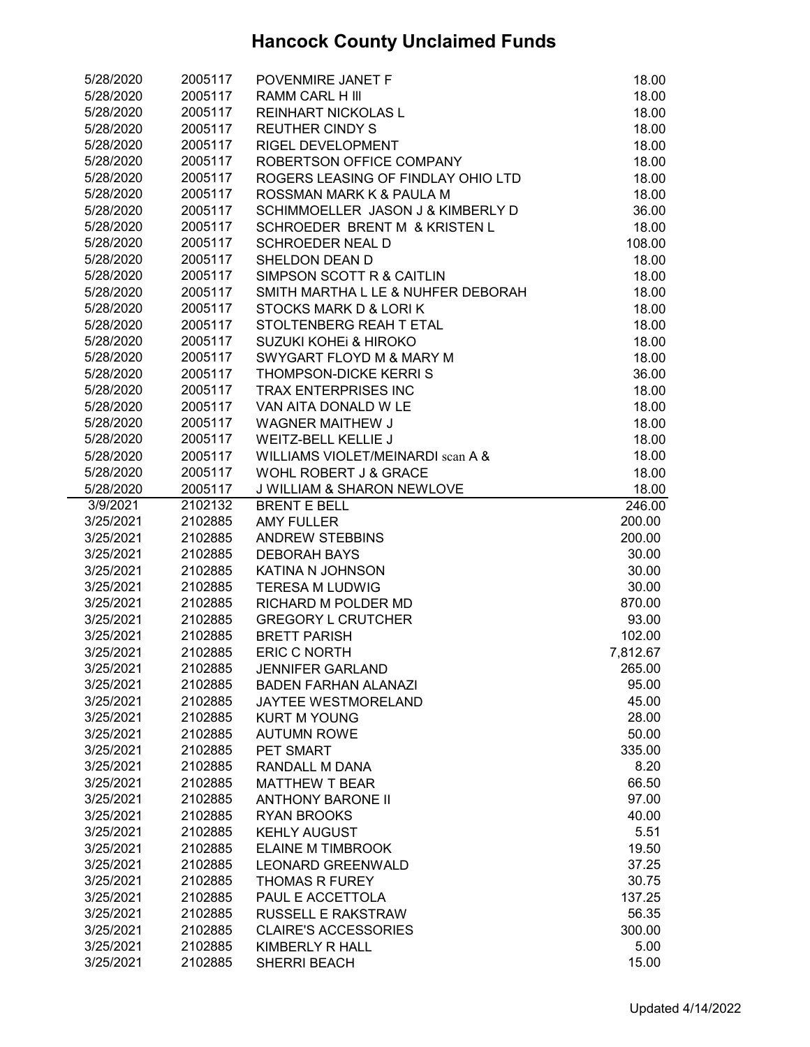| 5/28/2020 | 2005117 | POVENMIRE JANET F                     | 18.00    |
|-----------|---------|---------------------------------------|----------|
| 5/28/2020 | 2005117 | <b>RAMM CARL H III</b>                | 18.00    |
| 5/28/2020 | 2005117 | <b>REINHART NICKOLAS L</b>            | 18.00    |
| 5/28/2020 | 2005117 | <b>REUTHER CINDY S</b>                | 18.00    |
| 5/28/2020 | 2005117 | RIGEL DEVELOPMENT                     | 18.00    |
| 5/28/2020 | 2005117 | ROBERTSON OFFICE COMPANY              | 18.00    |
| 5/28/2020 | 2005117 | ROGERS LEASING OF FINDLAY OHIO LTD    | 18.00    |
| 5/28/2020 | 2005117 | ROSSMAN MARK K & PAULA M              | 18.00    |
| 5/28/2020 | 2005117 | SCHIMMOELLER JASON J & KIMBERLY D     | 36.00    |
| 5/28/2020 | 2005117 | SCHROEDER BRENT M & KRISTEN L         | 18.00    |
| 5/28/2020 | 2005117 | <b>SCHROEDER NEAL D</b>               | 108.00   |
| 5/28/2020 | 2005117 | SHELDON DEAN D                        | 18.00    |
| 5/28/2020 | 2005117 | SIMPSON SCOTT R & CAITLIN             | 18.00    |
| 5/28/2020 | 2005117 | SMITH MARTHA L LE & NUHFER DEBORAH    | 18.00    |
| 5/28/2020 | 2005117 | STOCKS MARK D & LORIK                 | 18.00    |
| 5/28/2020 | 2005117 | STOLTENBERG REAH T ETAL               | 18.00    |
| 5/28/2020 | 2005117 | SUZUKI KOHEI & HIROKO                 | 18.00    |
| 5/28/2020 | 2005117 | SWYGART FLOYD M & MARY M              | 18.00    |
| 5/28/2020 | 2005117 | <b>THOMPSON-DICKE KERRIS</b>          | 36.00    |
| 5/28/2020 | 2005117 | <b>TRAX ENTERPRISES INC</b>           | 18.00    |
| 5/28/2020 | 2005117 | VAN AITA DONALD W LE                  | 18.00    |
| 5/28/2020 | 2005117 | WAGNER MAITHEW J                      | 18.00    |
| 5/28/2020 | 2005117 | WEITZ-BELL KELLIE J                   | 18.00    |
| 5/28/2020 | 2005117 | WILLIAMS VIOLET/MEINARDI scan A &     | 18.00    |
| 5/28/2020 | 2005117 | WOHL ROBERT J & GRACE                 | 18.00    |
| 5/28/2020 | 2005117 | <b>J WILLIAM &amp; SHARON NEWLOVE</b> | 18.00    |
| 3/9/2021  | 2102132 | <b>BRENT E BELL</b>                   | 246.00   |
| 3/25/2021 | 2102885 | <b>AMY FULLER</b>                     | 200.00   |
| 3/25/2021 | 2102885 | <b>ANDREW STEBBINS</b>                | 200.00   |
| 3/25/2021 | 2102885 | <b>DEBORAH BAYS</b>                   | 30.00    |
| 3/25/2021 | 2102885 | KATINA N JOHNSON                      | 30.00    |
| 3/25/2021 | 2102885 | <b>TERESA M LUDWIG</b>                | 30.00    |
| 3/25/2021 | 2102885 | RICHARD M POLDER MD                   | 870.00   |
| 3/25/2021 | 2102885 | <b>GREGORY L CRUTCHER</b>             | 93.00    |
| 3/25/2021 | 2102885 | <b>BRETT PARISH</b>                   | 102.00   |
| 3/25/2021 | 2102885 | <b>ERIC C NORTH</b>                   | 7,812.67 |
| 3/25/2021 | 2102885 | <b>JENNIFER GARLAND</b>               | 265.00   |
| 3/25/2021 | 2102885 | <b>BADEN FARHAN ALANAZI</b>           | 95.00    |
| 3/25/2021 | 2102885 | JAYTEE WESTMORELAND                   | 45.00    |
| 3/25/2021 | 2102885 | <b>KURT M YOUNG</b>                   | 28.00    |
| 3/25/2021 | 2102885 | <b>AUTUMN ROWE</b>                    | 50.00    |
| 3/25/2021 | 2102885 | PET SMART                             | 335.00   |
| 3/25/2021 | 2102885 | RANDALL M DANA                        | 8.20     |
| 3/25/2021 | 2102885 | <b>MATTHEW T BEAR</b>                 | 66.50    |
| 3/25/2021 | 2102885 | <b>ANTHONY BARONE II</b>              | 97.00    |
| 3/25/2021 | 2102885 | <b>RYAN BROOKS</b>                    | 40.00    |
| 3/25/2021 | 2102885 | <b>KEHLY AUGUST</b>                   | 5.51     |
| 3/25/2021 | 2102885 | <b>ELAINE M TIMBROOK</b>              | 19.50    |
| 3/25/2021 | 2102885 | <b>LEONARD GREENWALD</b>              | 37.25    |
| 3/25/2021 | 2102885 | <b>THOMAS R FUREY</b>                 | 30.75    |
| 3/25/2021 | 2102885 | PAUL E ACCETTOLA                      | 137.25   |
| 3/25/2021 | 2102885 | <b>RUSSELL E RAKSTRAW</b>             | 56.35    |
| 3/25/2021 | 2102885 | <b>CLAIRE'S ACCESSORIES</b>           | 300.00   |
| 3/25/2021 | 2102885 | KIMBERLY R HALL                       | 5.00     |
| 3/25/2021 | 2102885 | SHERRI BEACH                          | 15.00    |